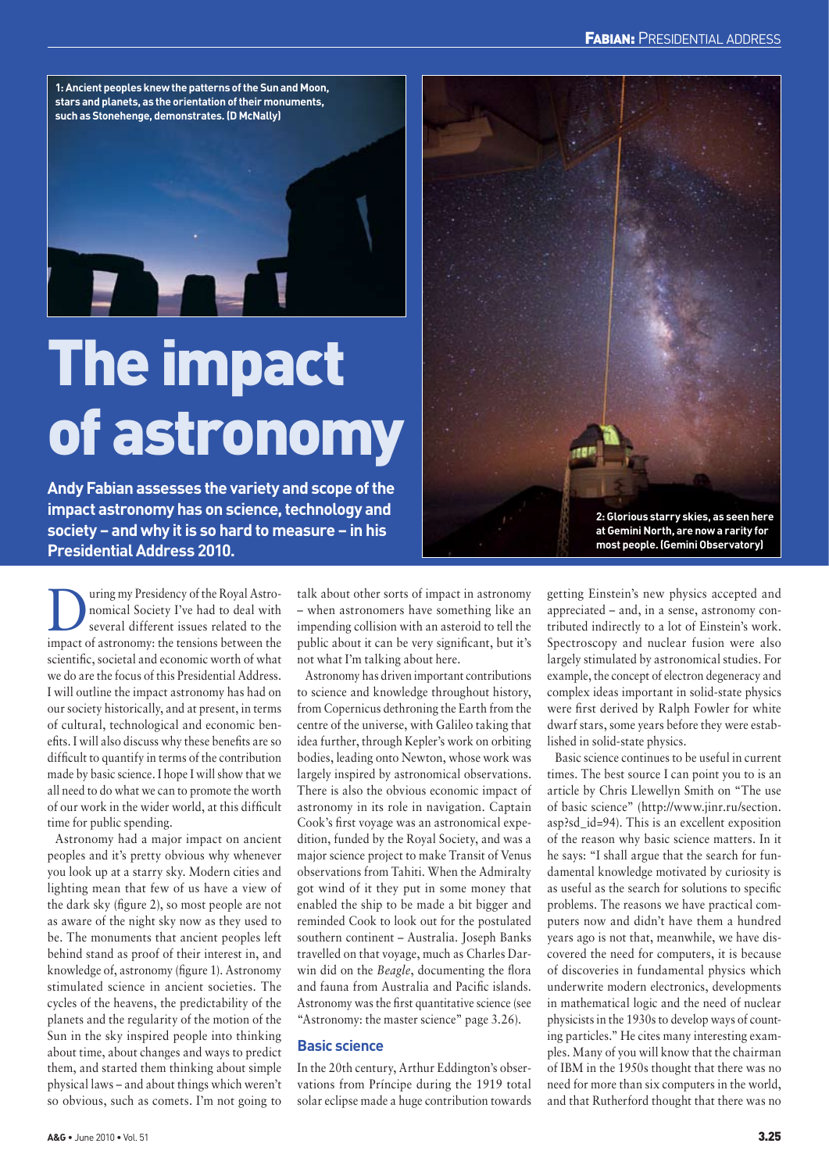

# The impact of astronomy

**Andy Fabian assesses the variety and scope of the impact astronomy has on science, technology and society – and why it is so hard to measure – in his Presidential Address 2010.** 

**During my Presidency of the Royal Astro-**<br>nomical Society I've had to deal with<br>several different issues related to the nomical Society I've had to deal with several different issues related to the impact of astronomy: the tensions between the scientific, societal and economic worth of what we do are the focus of this Presidential Address. I will outline the impact astronomy has had on our society historically, and at present, in terms of cultural, technological and economic benefits. I will also discuss why these benefits are so difficult to quantify in terms of the contribution made by basic science. I hope I will show that we all need to do what we can to promote the worth of our work in the wider world, at this difficult time for public spending.

Astronomy had a major impact on ancient peoples and it's pretty obvious why whenever you look up at a starry sky. Modern cities and lighting mean that few of us have a view of the dark sky (figure 2), so most people are not as aware of the night sky now as they used to be. The monuments that ancient peoples left behind stand as proof of their interest in, and knowledge of, astronomy (figure 1). Astronomy stimulated science in ancient societies. The cycles of the heavens, the predictability of the planets and the regularity of the motion of the Sun in the sky inspired people into thinking about time, about changes and ways to predict them, and started them thinking about simple physical laws – and about things which weren't so obvious, such as comets. I'm not going to

talk about other sorts of impact in astronomy – when astronomers have something like an impending collision with an asteroid to tell the public about it can be very significant, but it's not what I'm talking about here.

Astronomy has driven important contributions to science and knowledge throughout history, from Copernicus dethroning the Earth from the centre of the universe, with Galileo taking that idea further, through Kepler's work on orbiting bodies, leading onto Newton, whose work was largely inspired by astronomical observations. There is also the obvious economic impact of astronomy in its role in navigation. Captain Cook's first voyage was an astronomical expedition, funded by the Royal Society, and was a major science project to make Transit of Venus observations from Tahiti. When the Admiralty got wind of it they put in some money that enabled the ship to be made a bit bigger and reminded Cook to look out for the postulated southern continent – Australia. Joseph Banks travelled on that voyage, much as Charles Darwin did on the *Beagle*, documenting the flora and fauna from Australia and Pacific islands. Astronomy was the first quantitative science (see "Astronomy: the master science" page 3.26).

# **Basic science**

In the 20th century, Arthur Eddington's observations from Príncipe during the 1919 total solar eclipse made a huge contribution towards getting Einstein's new physics accepted and appreciated – and, in a sense, astronomy contributed indirectly to a lot of Einstein's work. Spectroscopy and nuclear fusion were also largely stimulated by astronomical studies. For example, the concept of electron degeneracy and complex ideas important in solid-state physics were first derived by Ralph Fowler for white dwarf stars, some years before they were established in solid-state physics.

**2: Glorious starry skies, as seen here at Gemini North, are now a rarity for most people. (Gemini Observatory)**

Basic science continues to be useful in current times. The best source I can point you to is an article by Chris Llewellyn Smith on "The use of basic science" (http://www.jinr.ru/section. asp?sd\_id=94). This is an excellent exposition of the reason why basic science matters. In it he says: "I shall argue that the search for fundamental knowledge motivated by curiosity is as useful as the search for solutions to specific problems. The reasons we have practical computers now and didn't have them a hundred years ago is not that, meanwhile, we have discovered the need for computers, it is because of discoveries in fundamental physics which underwrite modern electronics, developments in mathematical logic and the need of nuclear physicists in the 1930s to develop ways of counting particles." He cites many interesting examples. Many of you will know that the chairman of IBM in the 1950s thought that there was no need for more than six computers in the world, and that Rutherford thought that there was no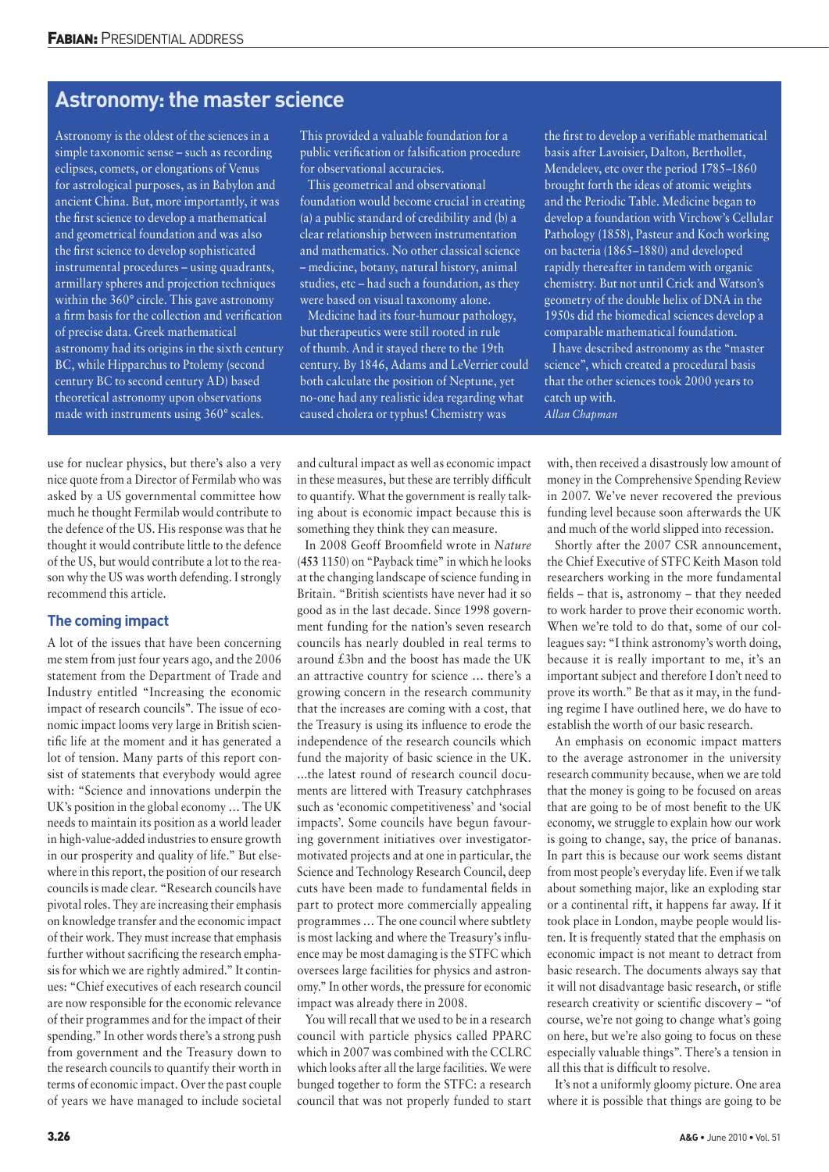# **Astronomy: the master science**

Astronomy is the oldest of the sciences in a simple taxonomic sense – such as recording eclipses, comets, or elongations of Venus for astrological purposes, as in Babylon and ancient China. But, more importantly, it was the first science to develop a mathematical and geometrical foundation and was also the first science to develop sophisticated instrumental procedures – using quadrants, armillary spheres and projection techniques within the 360° circle. This gave astronomy a firm basis for the collection and verification of precise data. Greek mathematical astronomy had its origins in the sixth century BC, while Hipparchus to Ptolemy (second century BC to second century AD) based theoretical astronomy upon observations made with instruments using 360° scales.

use for nuclear physics, but there's also a very nice quote from a Director of Fermilab who was asked by a US governmental committee how much he thought Fermilab would contribute to the defence of the US. His response was that he thought it would contribute little to the defence of the US, but would contribute a lot to the reason why the US was worth defending. I strongly recommend this article.

# **The coming impact**

A lot of the issues that have been concerning me stem from just four years ago, and the 2006 statement from the Department of Trade and Industry entitled "Increasing the economic impact of research councils". The issue of economic impact looms very large in British scientific life at the moment and it has generated a lot of tension. Many parts of this report consist of statements that everybody would agree with: "Science and innovations underpin the UK's position in the global economy … The UK needs to maintain its position as a world leader in high-value-added industries to ensure growth in our prosperity and quality of life." But elsewhere in this report, the position of our research councils is made clear. "Research councils have pivotal roles. They are increasing their emphasis on knowledge transfer and the economic impact of their work. They must increase that emphasis further without sacrificing the research emphasis for which we are rightly admired." It continues: "Chief executives of each research council are now responsible for the economic relevance of their programmes and for the impact of their spending." In other words there's a strong push from government and the Treasury down to the research councils to quantify their worth in terms of economic impact. Over the past couple of years we have managed to include societal

This provided a valuable foundation for a public verification or falsification procedure for observational accuracies.

This geometrical and observational foundation would become crucial in creating (a) a public standard of credibility and (b) a clear relationship between instrumentation and mathematics. No other classical science – medicine, botany, natural history, animal studies, etc – had such a foundation, as they were based on visual taxonomy alone.

Medicine had its four-humour pathology, but therapeutics were still rooted in rule of thumb. And it stayed there to the 19th century. By 1846, Adams and LeVerrier could both calculate the position of Neptune, yet no-one had any realistic idea regarding what caused cholera or typhus! Chemistry was

and cultural impact as well as economic impact in these measures, but these are terribly difficult to quantify. What the government is really talking about is economic impact because this is something they think they can measure.

In 2008 Geoff Broomfield wrote in *Nature* (**453** 1150) on "Payback time" in which he looks at the changing landscape of science funding in Britain. "British scientists have never had it so good as in the last decade. Since 1998 government funding for the nation's seven research councils has nearly doubled in real terms to around £3bn and the boost has made the UK an attractive country for science … there's a growing concern in the research community that the increases are coming with a cost, that the Treasury is using its influence to erode the independence of the research councils which fund the majority of basic science in the UK. ...the latest round of research council documents are littered with Treasury catchphrases such as 'economic competitiveness' and 'social impacts'. Some councils have begun favouring government initiatives over investigatormotivated projects and at one in particular, the Science and Technology Research Council, deep cuts have been made to fundamental fields in part to protect more commercially appealing programmes … The one council where subtlety is most lacking and where the Treasury's influence may be most damaging is the STFC which oversees large facilities for physics and astronomy." In other words, the pressure for economic impact was already there in 2008.

You will recall that we used to be in a research council with particle physics called PPARC which in 2007 was combined with the CCLRC which looks after all the large facilities. We were bunged together to form the STFC: a research council that was not properly funded to start the first to develop a verifiable mathematical basis after Lavoisier, Dalton, Berthollet, Mendeleev, etc over the period 1785–1860 brought forth the ideas of atomic weights and the Periodic Table. Medicine began to develop a foundation with Virchow's Cellular Pathology (1858), Pasteur and Koch working on bacteria (1865–1880) and developed rapidly thereafter in tandem with organic chemistry. But not until Crick and Watson's geometry of the double helix of DNA in the 1950s did the biomedical sciences develop a comparable mathematical foundation.

I have described astronomy as the "master science", which created a procedural basis that the other sciences took 2000 years to catch up with. *Allan Chapman*

with, then received a disastrously low amount of money in the Comprehensive Spending Review in 2007. We've never recovered the previous funding level because soon afterwards the UK and much of the world slipped into recession.

Shortly after the 2007 CSR announcement, the Chief Executive of STFC Keith Mason told researchers working in the more fundamental fields – that is, astronomy – that they needed to work harder to prove their economic worth. When we're told to do that, some of our colleagues say: "I think astronomy's worth doing, because it is really important to me, it's an important subject and therefore I don't need to prove its worth." Be that as it may, in the funding regime I have outlined here, we do have to establish the worth of our basic research.

An emphasis on economic impact matters to the average astronomer in the university research community because, when we are told that the money is going to be focused on areas that are going to be of most benefit to the UK economy, we struggle to explain how our work is going to change, say, the price of bananas. In part this is because our work seems distant from most people's everyday life. Even if we talk about something major, like an exploding star or a continental rift, it happens far away. If it took place in London, maybe people would listen. It is frequently stated that the emphasis on economic impact is not meant to detract from basic research. The documents always say that it will not disadvantage basic research, or stifle research creativity or scientific discovery – "of course, we're not going to change what's going on here, but we're also going to focus on these especially valuable things". There's a tension in all this that is difficult to resolve.

It's not a uniformly gloomy picture. One area where it is possible that things are going to be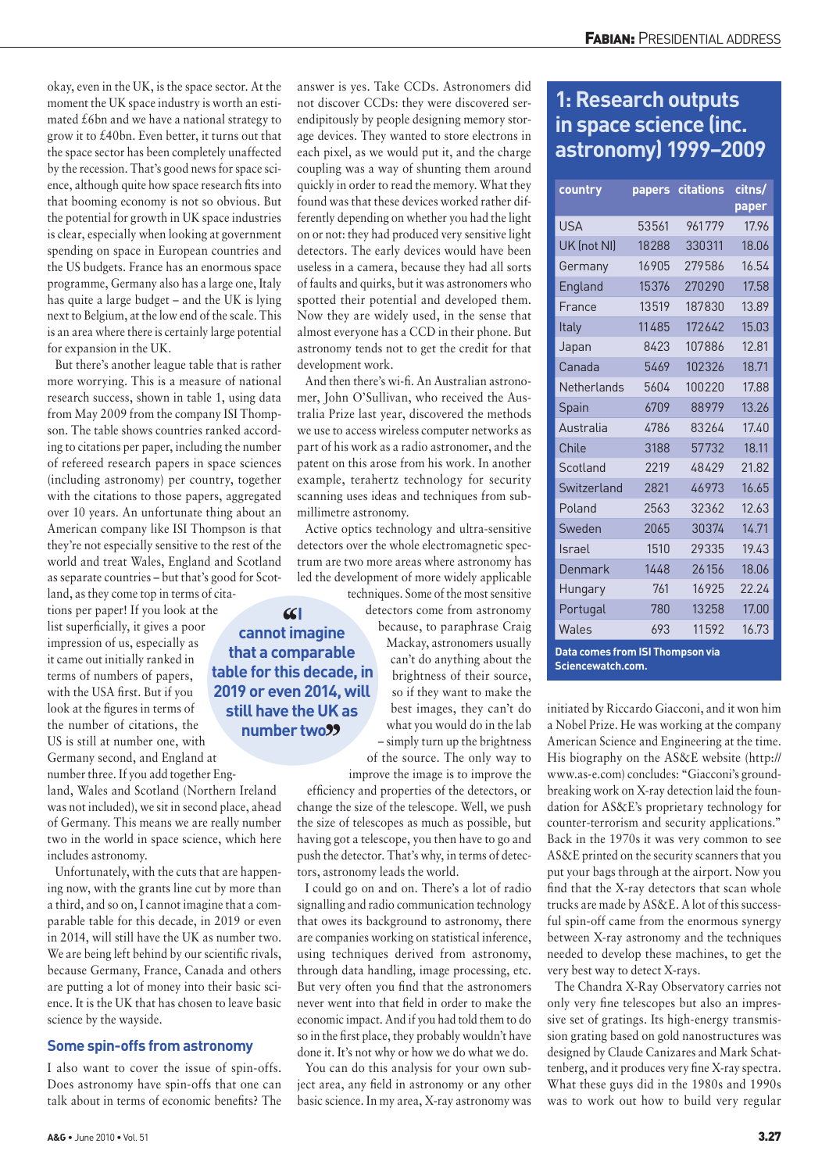okay, even in the UK, is the space sector. At the moment the UK space industry is worth an estimated £6bn and we have a national strategy to grow it to £40bn. Even better, it turns out that the space sector has been completely unaffected by the recession. That's good news for space science, although quite how space research fits into that booming economy is not so obvious. But the potential for growth in UK space industries is clear, especially when looking at government spending on space in European countries and the US budgets. France has an enormous space programme, Germany also has a large one, Italy has quite a large budget – and the UK is lying next to Belgium, at the low end of the scale. This is an area where there is certainly large potential for expansion in the UK.

But there's another league table that is rather more worrying. This is a measure of national research success, shown in table 1, using data from May 2009 from the company ISI Thompson. The table shows countries ranked according to citations per paper, including the number of refereed research papers in space sciences (including astronomy) per country, together with the citations to those papers, aggregated over 10 years. An unfortunate thing about an American company like ISI Thompson is that they're not especially sensitive to the rest of the world and treat Wales, England and Scotland as separate countries – but that's good for Scotland, as they come top in terms of cita-

tions per paper! If you look at the list superficially, it gives a poor impression of us, especially as it came out initially ranked in terms of numbers of papers, with the USA first. But if you look at the figures in terms of the number of citations, the US is still at number one, with Germany second, and England at

number three. If you add together England, Wales and Scotland (Northern Ireland was not included), we sit in second place, ahead of Germany. This means we are really number two in the world in space science, which here includes astronomy.

Unfortunately, with the cuts that are happening now, with the grants line cut by more than a third, and so on, I cannot imagine that a comparable table for this decade, in 2019 or even in 2014, will still have the UK as number two. We are being left behind by our scientific rivals, because Germany, France, Canada and others are putting a lot of money into their basic science. It is the UK that has chosen to leave basic science by the wayside.

## **Some spin-offs from astronomy**

I also want to cover the issue of spin-offs. Does astronomy have spin-offs that one can talk about in terms of economic benefits? The

answer is yes. Take CCDs. Astronomers did not discover CCDs: they were discovered serendipitously by people designing memory storage devices. They wanted to store electrons in each pixel, as we would put it, and the charge coupling was a way of shunting them around quickly in order to read the memory. What they found was that these devices worked rather differently depending on whether you had the light on or not: they had produced very sensitive light detectors. The early devices would have been useless in a camera, because they had all sorts of faults and quirks, but it was astronomers who spotted their potential and developed them. Now they are widely used, in the sense that almost everyone has a CCD in their phone. But astronomy tends not to get the credit for that development work.

And then there's wi-fi. An Australian astronomer, John O'Sullivan, who received the Australia Prize last year, discovered the methods we use to access wireless computer networks as part of his work as a radio astronomer, and the patent on this arose from his work. In another example, terahertz technology for security scanning uses ideas and techniques from submillimetre astronomy.

Active optics technology and ultra-sensitive detectors over the whole electromagnetic spectrum are two more areas where astronomy has led the development of more widely applicable

**''I cannot imagine that a comparable table for this decade, in 2019 or even 2014, will still have the UK as number two<sup>99</sup>** 

techniques. Some of the most sensitive detectors come from astronomy

because, to paraphrase Craig Mackay, astronomers usually can't do anything about the brightness of their source, so if they want to make the best images, they can't do what you would do in the lab – simply turn up the brightness

of the source. The only way to improve the image is to improve the

efficiency and properties of the detectors, or change the size of the telescope. Well, we push the size of telescopes as much as possible, but having got a telescope, you then have to go and push the detector. That's why, in terms of detectors, astronomy leads the world.

I could go on and on. There's a lot of radio signalling and radio communication technology that owes its background to astronomy, there are companies working on statistical inference, using techniques derived from astronomy, through data handling, image processing, etc. But very often you find that the astronomers never went into that field in order to make the economic impact. And if you had told them to do so in the first place, they probably wouldn't have done it. It's not why or how we do what we do.

You can do this analysis for your own subject area, any field in astronomy or any other basic science. In my area, X-ray astronomy was

# **1: Research outputs in space science (inc. astronomy) 1999–2009**

| country     | papers | <b>citations</b> | citns/<br>paper |
|-------------|--------|------------------|-----------------|
| <b>USA</b>  | 53561  | 961779           | 17.96           |
| UK (not NI) | 18288  | 330311           | 18.06           |
| Germany     | 16905  | 279586           | 16.54           |
| England     | 15376  | 270290           | 17.58           |
| France      | 13519  | 187830           | 13.89           |
| Italy       | 11485  | 172642           | 15.03           |
| Japan       | 8423   | 107886           | 12.81           |
| Canada      | 5469   | 102326           | 18.71           |
| Netherlands | 5604   | 100220           | 17.88           |
| Spain       | 6709   | 88979            | 13.26           |
| Australia   | 4786   | 83264            | 17.40           |
| Chile       | 3188   | 57732            | 18.11           |
| Scotland    | 2219   | 48429            | 21.82           |
| Switzerland | 2821   | 46973            | 16.65           |
| Poland      | 2563   | 32362            | 12.63           |
| Sweden      | 2065   | 30374            | 14.71           |
| Israel      | 1510   | 29335            | 19.43           |
| Denmark     | 1448   | 26156            | 18.06           |
| Hungary     | 761    | 16925            | 22.24           |
| Portugal    | 780    | 13258            | 17.00           |
| Wales       | 693    | 11592            | 16.73           |

**Data comes from ISI Thompson via Sciencewatch.com.**

initiated by Riccardo Giacconi, and it won him a Nobel Prize. He was working at the company American Science and Engineering at the time. His biography on the AS&E website (http:// www.as-e.com) concludes: "Giacconi's groundbreaking work on X-ray detection laid the foundation for AS&E's proprietary technology for counter-terrorism and security applications." Back in the 1970s it was very common to see AS&E printed on the security scanners that you put your bags through at the airport. Now you find that the X-ray detectors that scan whole trucks are made by AS&E. A lot of this successful spin-off came from the enormous synergy between X-ray astronomy and the techniques needed to develop these machines, to get the very best way to detect X-rays.

The Chandra X-Ray Observatory carries not only very fine telescopes but also an impressive set of gratings. Its high-energy transmission grating based on gold nanostructures was designed by Claude Canizares and Mark Schattenberg, and it produces very fine X-ray spectra. What these guys did in the 1980s and 1990s was to work out how to build very regular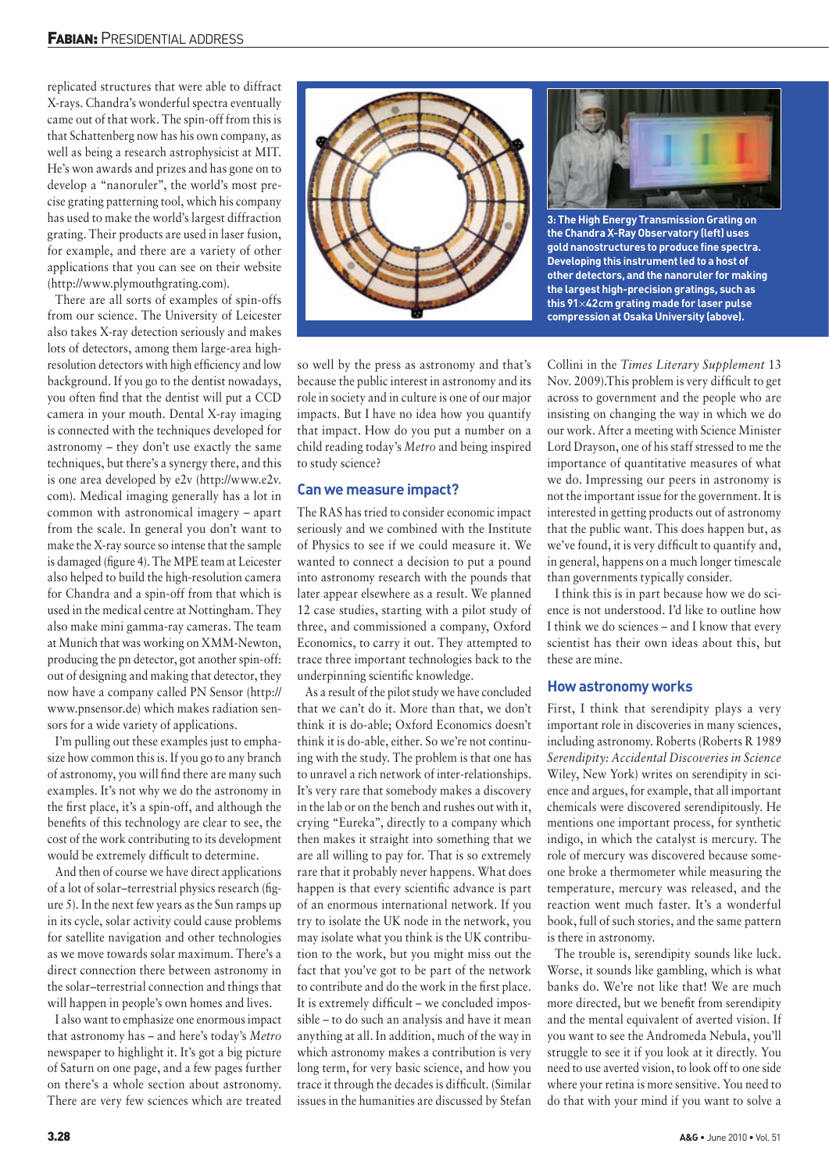replicated structures that were able to diffract X-rays. Chandra's wonderful spectra eventually came out of that work. The spin-off from this is that Schattenberg now has his own company, as well as being a research astrophysicist at MIT. He's won awards and prizes and has gone on to develop a "nanoruler", the world's most precise grating patterning tool, which his company has used to make the world's largest diffraction grating. Their products are used in laser fusion, for example, and there are a variety of other applications that you can see on their website (http://www.plymouthgrating.com).

There are all sorts of examples of spin-offs from our science. The University of Leicester also takes X-ray detection seriously and makes lots of detectors, among them large-area highresolution detectors with high efficiency and low background. If you go to the dentist nowadays, you often find that the dentist will put a CCD camera in your mouth. Dental X-ray imaging is connected with the techniques developed for astronomy – they don't use exactly the same techniques, but there's a synergy there, and this is one area developed by e2v (http://www.e2v. com). Medical imaging generally has a lot in common with astronomical imagery – apart from the scale. In general you don't want to make the X-ray source so intense that the sample is damaged (figure 4). The MPE team at Leicester also helped to build the high-resolution camera for Chandra and a spin-off from that which is used in the medical centre at Nottingham. They also make mini gamma-ray cameras. The team at Munich that was working on XMM-Newton, producing the pn detector, got another spin-off: out of designing and making that detector, they now have a company called PN Sensor (http:// www.pnsensor.de) which makes radiation sensors for a wide variety of applications.

I'm pulling out these examples just to emphasize how common this is. If you go to any branch of astronomy, you will find there are many such examples. It's not why we do the astronomy in the first place, it's a spin-off, and although the benefits of this technology are clear to see, the cost of the work contributing to its development would be extremely difficult to determine.

And then of course we have direct applications of a lot of solar–terrestrial physics research (figure 5). In the next few years as the Sun ramps up in its cycle, solar activity could cause problems for satellite navigation and other technologies as we move towards solar maximum. There's a direct connection there between astronomy in the solar–terrestrial connection and things that will happen in people's own homes and lives.

I also want to emphasize one enormous impact that astronomy has – and here's today's *Metro* newspaper to highlight it. It's got a big picture of Saturn on one page, and a few pages further on there's a whole section about astronomy. There are very few sciences which are treated



so well by the press as astronomy and that's because the public interest in astronomy and its role in society and in culture is one of our major impacts. But I have no idea how you quantify that impact. How do you put a number on a child reading today's *Metro* and being inspired to study science?

## **Can we measure impact?**

The RAS has tried to consider economic impact seriously and we combined with the Institute of Physics to see if we could measure it. We wanted to connect a decision to put a pound into astronomy research with the pounds that later appear elsewhere as a result. We planned 12 case studies, starting with a pilot study of three, and commissioned a company, Oxford Economics, to carry it out. They attempted to trace three important technologies back to the underpinning scientific knowledge.

As a result of the pilot study we have concluded that we can't do it. More than that, we don't think it is do-able; Oxford Economics doesn't think it is do-able, either. So we're not continuing with the study. The problem is that one has to unravel a rich network of inter-relationships. It's very rare that somebody makes a discovery in the lab or on the bench and rushes out with it, crying "Eureka", directly to a company which then makes it straight into something that we are all willing to pay for. That is so extremely rare that it probably never happens. What does happen is that every scientific advance is part of an enormous international network. If you try to isolate the UK node in the network, you may isolate what you think is the UK contribution to the work, but you might miss out the fact that you've got to be part of the network to contribute and do the work in the first place. It is extremely difficult – we concluded impossible – to do such an analysis and have it mean anything at all. In addition, much of the way in which astronomy makes a contribution is very long term, for very basic science, and how you trace it through the decades is difficult. (Similar issues in the humanities are discussed by Stefan



**3: The High Energy Transmission Grating on the Chandra X-Ray Observatory (left) uses gold nanostructures to produce fine spectra. Developing this instrument led to a host of other detectors, and the nanoruler for making the largest high-precision gratings, such as this 91**×**42cm grating made for laser pulse compression at Osaka University (above).** 

Collini in the *Times Literary Supplement* 13 Nov. 2009).This problem is very difficult to get across to government and the people who are insisting on changing the way in which we do our work. After a meeting with Science Minister Lord Drayson, one of his staff stressed to me the importance of quantitative measures of what we do. Impressing our peers in astronomy is not the important issue for the government. It is interested in getting products out of astronomy that the public want. This does happen but, as we've found, it is very difficult to quantify and, in general, happens on a much longer timescale than governments typically consider.

I think this is in part because how we do science is not understood. I'd like to outline how I think we do sciences – and I know that every scientist has their own ideas about this, but these are mine.

#### **How astronomy works**

First, I think that serendipity plays a very important role in discoveries in many sciences, including astronomy. Roberts (Roberts R 1989 *Serendipity: Accidental Discoveries in Science* Wiley, New York) writes on serendipity in science and argues, for example, that all important chemicals were discovered serendipitously. He mentions one important process, for synthetic indigo, in which the catalyst is mercury. The role of mercury was discovered because someone broke a thermometer while measuring the temperature, mercury was released, and the reaction went much faster. It's a wonderful book, full of such stories, and the same pattern is there in astronomy.

The trouble is, serendipity sounds like luck. Worse, it sounds like gambling, which is what banks do. We're not like that! We are much more directed, but we benefit from serendipity and the mental equivalent of averted vision. If you want to see the Andromeda Nebula, you'll struggle to see it if you look at it directly. You need to use averted vision, to look off to one side where your retina is more sensitive. You need to do that with your mind if you want to solve a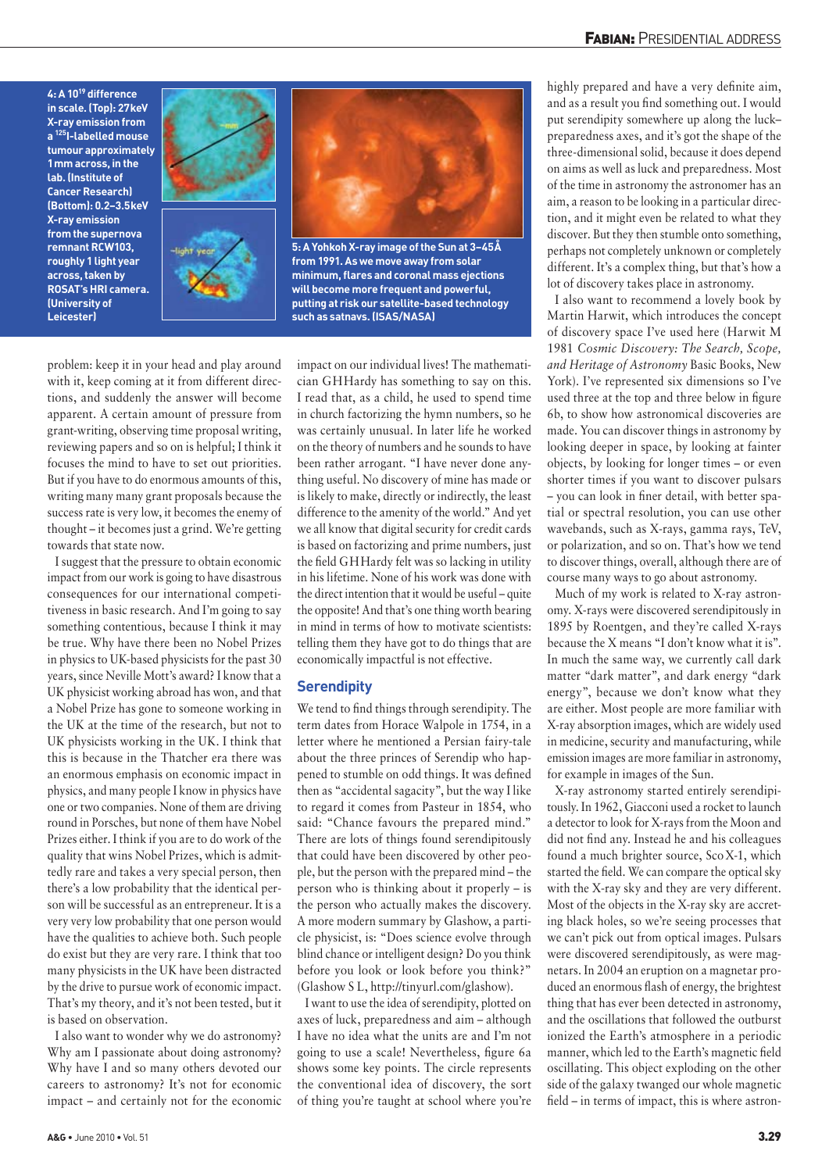**4: A 1019 difference in scale. (Top): 27keV X-ray emission from a 125I-labelled mouse tumour approximately 1mm across, in the lab. (Institute of Cancer Research) (Bottom): 0.2–3.5keV X-ray emission from the supernova remnant RCW103, roughly 1 light year across, taken by ROSAT's HRI camera. (University of Leicester)** 





problem: keep it in your head and play around with it, keep coming at it from different directions, and suddenly the answer will become apparent. A certain amount of pressure from grant-writing, observing time proposal writing, reviewing papers and so on is helpful; I think it focuses the mind to have to set out priorities. But if you have to do enormous amounts of this, writing many many grant proposals because the success rate is very low, it becomes the enemy of thought – it becomes just a grind. We're getting towards that state now.

I suggest that the pressure to obtain economic impact from our work is going to have disastrous consequences for our international competitiveness in basic research. And I'm going to say something contentious, because I think it may be true. Why have there been no Nobel Prizes in physics to UK-based physicists for the past 30 years, since Neville Mott's award? I know that a UK physicist working abroad has won, and that a Nobel Prize has gone to someone working in the UK at the time of the research, but not to UK physicists working in the UK. I think that this is because in the Thatcher era there was an enormous emphasis on economic impact in physics, and many people I know in physics have one or two companies. None of them are driving round in Porsches, but none of them have Nobel Prizes either. I think if you are to do work of the quality that wins Nobel Prizes, which is admittedly rare and takes a very special person, then there's a low probability that the identical person will be successful as an entrepreneur. It is a very very low probability that one person would have the qualities to achieve both. Such people do exist but they are very rare. I think that too many physicists in the UK have been distracted by the drive to pursue work of economic impact. That's my theory, and it's not been tested, but it is based on observation.

I also want to wonder why we do astronomy? Why am I passionate about doing astronomy? Why have I and so many others devoted our careers to astronomy? It's not for economic impact – and certainly not for the economic impact on our individual lives! The mathematician GHHardy has something to say on this. I read that, as a child, he used to spend time in church factorizing the hymn numbers, so he was certainly unusual. In later life he worked on the theory of numbers and he sounds to have been rather arrogant. "I have never done anything useful. No discovery of mine has made or is likely to make, directly or indirectly, the least difference to the amenity of the world." And yet we all know that digital security for credit cards is based on factorizing and prime numbers, just the field GHHardy felt was so lacking in utility in his lifetime. None of his work was done with the direct intention that it would be useful – quite the opposite! And that's one thing worth bearing in mind in terms of how to motivate scientists: telling them they have got to do things that are economically impactful is not effective.

#### **Serendipity**

We tend to find things through serendipity. The term dates from Horace Walpole in 1754, in a letter where he mentioned a Persian fairy-tale about the three princes of Serendip who happened to stumble on odd things. It was defined then as "accidental sagacity", but the way I like to regard it comes from Pasteur in 1854, who said: "Chance favours the prepared mind." There are lots of things found serendipitously that could have been discovered by other people, but the person with the prepared mind – the person who is thinking about it properly – is the person who actually makes the discovery. A more modern summary by Glashow, a particle physicist, is: "Does science evolve through blind chance or intelligent design? Do you think before you look or look before you think?" (Glashow S L, http://tinyurl.com/glashow).

I want to use the idea of serendipity, plotted on axes of luck, preparedness and aim – although I have no idea what the units are and I'm not going to use a scale! Nevertheless, figure 6a shows some key points. The circle represents the conventional idea of discovery, the sort of thing you're taught at school where you're highly prepared and have a very definite aim, and as a result you find something out. I would put serendipity somewhere up along the luck– preparedness axes, and it's got the shape of the three-dimensional solid, because it does depend on aims as well as luck and preparedness. Most of the time in astronomy the astronomer has an aim, a reason to be looking in a particular direction, and it might even be related to what they discover. But they then stumble onto something, perhaps not completely unknown or completely different. It's a complex thing, but that's how a lot of discovery takes place in astronomy.

I also want to recommend a lovely book by Martin Harwit, which introduces the concept of discovery space I've used here (Harwit M 1981 *Cosmic Discovery: The Search, Scope, and Heritage of Astronomy* Basic Books, New York). I've represented six dimensions so I've used three at the top and three below in figure 6b, to show how astronomical discoveries are made. You can discover things in astronomy by looking deeper in space, by looking at fainter objects, by looking for longer times – or even shorter times if you want to discover pulsars – you can look in finer detail, with better spatial or spectral resolution, you can use other wavebands, such as X-rays, gamma rays, TeV, or polarization, and so on. That's how we tend to discover things, overall, although there are of course many ways to go about astronomy.

Much of my work is related to X-ray astronomy. X-rays were discovered serendipitously in 1895 by Roentgen, and they're called X-rays because the X means "I don't know what it is". In much the same way, we currently call dark matter "dark matter", and dark energy "dark energy", because we don't know what they are either. Most people are more familiar with X-ray absorption images, which are widely used in medicine, security and manufacturing, while emission images are more familiar in astronomy, for example in images of the Sun.

X-ray astronomy started entirely serendipitously. In 1962, Giacconi used a rocket to launch a detector to look for X-rays from the Moon and did not find any. Instead he and his colleagues found a much brighter source, ScoX-1, which started the field. We can compare the optical sky with the X-ray sky and they are very different. Most of the objects in the X-ray sky are accreting black holes, so we're seeing processes that we can't pick out from optical images. Pulsars were discovered serendipitously, as were magnetars. In 2004 an eruption on a magnetar produced an enormous flash of energy, the brightest thing that has ever been detected in astronomy, and the oscillations that followed the outburst ionized the Earth's atmosphere in a periodic manner, which led to the Earth's magnetic field oscillating. This object exploding on the other side of the galaxy twanged our whole magnetic field – in terms of impact, this is where astron